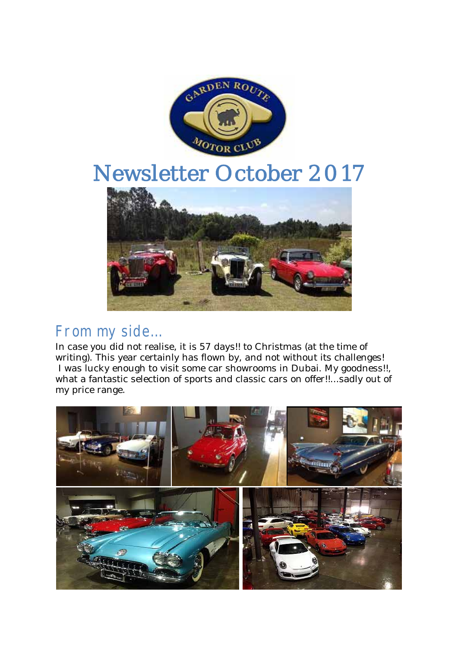

# Newsletter October 2017



# From my side…

In case you did not realise, it is 57 days!! to Christmas (at the time of writing). This year certainly has flown by, and not without its challenges! I was lucky enough to visit some car showrooms in Dubai. My goodness!!, what a fantastic selection of sports and classic cars on offer!!...sadly out of my price range.

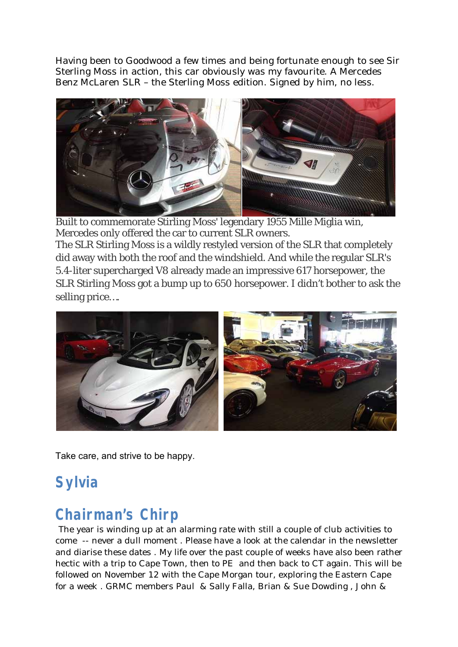Having been to Goodwood a few times and being fortunate enough to see Sir Sterling Moss in action, this car obviously was my favourite. A Mercedes Benz McLaren SLR – the Sterling Moss edition. Signed by him, no less.



Built to commemorate Stirling Moss' legendary 1955 Mille Miglia win, Mercedes only offered the car to current SLR owners. The SLR Stirling Moss is a wildly restyled version of the SLR that completely did away with both the roof and the windshield. And while the regular SLR's 5.4-liter supercharged V8 already made an impressive 617 horsepower, the SLR Stirling Moss got a bump up to 650 horsepower. I didn't bother to ask the selling price….



Take care, and strive to be happy.

# **Sylvia**

# **Chairman's Chirp**

The year is winding up at an alarming rate with still a couple of club activities to come -- never a dull moment . Please have a look at the calendar in the newsletter and diarise these dates . My life over the past couple of weeks have also been rather hectic with a trip to Cape Town, then to PE and then back to CT again. This will be followed on November 12 with the Cape Morgan tour, exploring the Eastern Cape for a week . GRMC members Paul & Sally Falla, Brian & Sue Dowding , John &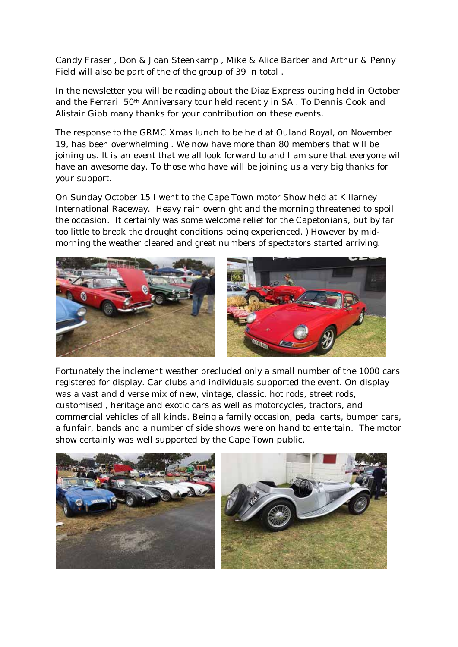Candy Fraser , Don & Joan Steenkamp , Mike & Alice Barber and Arthur & Penny Field will also be part of the of the group of 39 in total .

In the newsletter you will be reading about the Diaz Express outing held in October and the Ferrari 50th Anniversary tour held recently in SA . To Dennis Cook and Alistair Gibb many thanks for your contribution on these events.

The response to the GRMC Xmas lunch to be held at Ouland Royal, on November 19, has been overwhelming . We now have more than 80 members that will be joining us. It is an event that we all look forward to and I am sure that everyone will have an awesome day. To those who have will be joining us a very big thanks for your support.

On Sunday October 15 I went to the Cape Town motor Show held at Killarney International Raceway. Heavy rain overnight and the morning threatened to spoil the occasion. It certainly was some welcome relief for the Capetonians, but by far too little to break the drought conditions being experienced. ) However by midmorning the weather cleared and great numbers of spectators started arriving.



Fortunately the inclement weather precluded only a small number of the 1000 cars registered for display. Car clubs and individuals supported the event. On display was a vast and diverse mix of new, vintage, classic, hot rods, street rods, customised , heritage and exotic cars as well as motorcycles, tractors, and commercial vehicles of all kinds. Being a family occasion, pedal carts, bumper cars, a funfair, bands and a number of side shows were on hand to entertain. The motor show certainly was well supported by the Cape Town public.

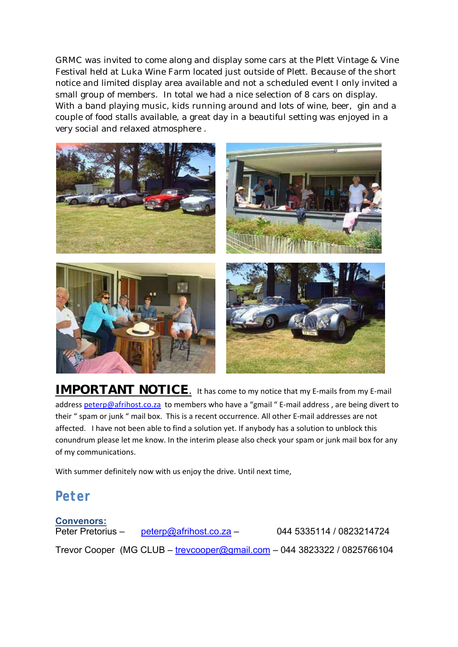GRMC was invited to come along and display some cars at the Plett Vintage & Vine Festival held at Luka Wine Farm located just outside of Plett. Because of the short notice and limited display area available and not a scheduled event I only invited a small group of members. In total we had a nice selection of 8 cars on display. With a band playing music, kids running around and lots of wine, beer, gin and a couple of food stalls available, a great day in a beautiful setting was enjoyed in a very social and relaxed atmosphere .



**IMPORTANT NOTICE.** It has come to my notice that my E-mails from my E-mail address peterp@afrihost.co.za to members who have a "gmail " E-mail address, are being divert to their " spam or junk " mail box. This is a recent occurrence. All other E-mail addresses are not affected. I have not been able to find a solution yet. If anybody has a solution to unblock this conundrum please let me know. In the interim please also check your spam or junk mail box for any of my communications.

With summer definitely now with us enjoy the drive. Until next time,

# **Peter**

**Convenors:** Peter Pretorius – peterp@afrihost.co.za – 044 5335114 / 0823214724 Trevor Cooper (MG CLUB – trevcooper@gmail.com – 044 3823322 / 0825766104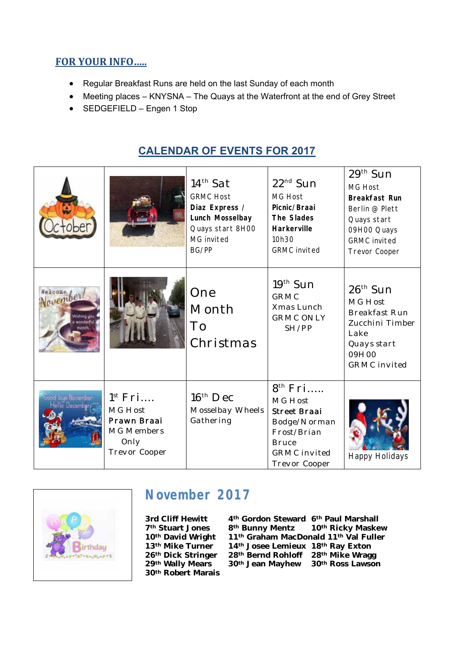## **FOR YOUR INFO…..**

- Regular Breakfast Runs are held on the last Sunday of each month
- Meeting places KNYSNA The Quays at the Waterfront at the end of Grey Street
- SEDGEFIELD Engen 1 Stop

# **CALENDAR OF EVENTS FOR 2017**

|                                       |                                                                                      | $14th$ Sat<br><b>GRMC Host</b><br>Diaz Express /<br>Lunch Mosselbay<br>Quays start 8H00<br>MG invited<br>BG/PP | $22^{nd}$ Sun<br><b>MG Host</b><br>Picnic/Braai<br>The Slades<br>Harkerville<br>10h30<br><b>GRMC</b> invited                                 | $29th$ Sun<br><b>MG Host</b><br><b>Breakfast Run</b><br>Berlin @ Plett<br>Quays start<br>09H00 Quays<br><b>GRMC</b> invited<br><b>Trevor Cooper</b> |
|---------------------------------------|--------------------------------------------------------------------------------------|----------------------------------------------------------------------------------------------------------------|----------------------------------------------------------------------------------------------------------------------------------------------|-----------------------------------------------------------------------------------------------------------------------------------------------------|
| Welcome /<br><b>November</b><br>ndark |                                                                                      | One<br>Month<br>To<br>Christmas                                                                                | $19th$ Sun<br><b>GRMC</b><br>Xmas Lunch<br><b>GRMC ONLY</b><br>SH/PP                                                                         | $26th$ Sun<br>MG Host<br><b>Breakfast Run</b><br>Zucchini Timber<br>Lake<br>Quays start<br>09H00<br><b>GRMC</b> invited                             |
|                                       | $1^{st}$ Fri<br>MG Host<br>Prawn Braai<br><b>MG Members</b><br>Only<br>Trevor Cooper | $16th$ Dec<br>Mosselbay Wheels<br>Gathering                                                                    | 8 <sup>th</sup> Fri<br>MG Host<br><b>Street Braai</b><br>Bodge/Norman<br>Frost/Brian<br><b>Bruce</b><br><b>GRMC</b> invited<br>Trevor Cooper | <b>Happy Holidays</b>                                                                                                                               |



# **November 2017**

**30th Robert Marais** 

3rd Cliff Hewitt 4<sup>th</sup> Gordon Steward 6<sup>th</sup> Paul Marshall<br><sup>7th</sup> Stuart Jones 8<sup>th</sup> Bunny Mentz 10<sup>th</sup> Ricky Maske 10<sup>th</sup> Ricky Maskew **10th David Wright 11th Graham MacDonald 11th Val Fuller 13th Mike Turner 14th Josee Lemieux 18th Ray Exton**  28<sup>th</sup> Bernd Rohloff 28<sup>th</sup> Mike Wragg **29th Wally Mears 30th Jean Mayhew 30th Ross Lawson**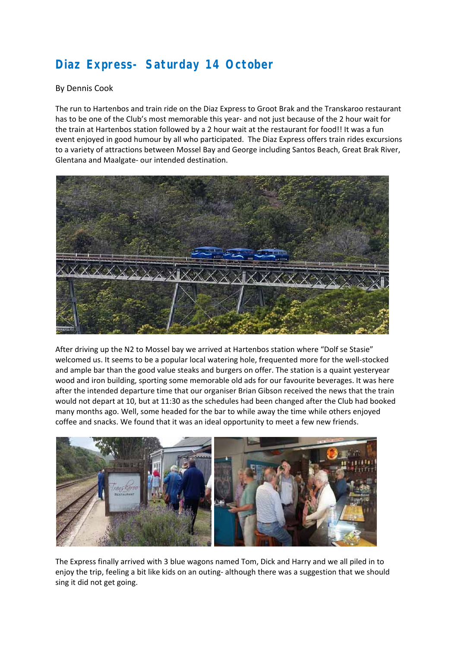# **Diaz Express- Saturday 14 October**

#### By Dennis Cook

The run to Hartenbos and train ride on the Diaz Express to Groot Brak and the Transkaroo restaurant has to be one of the Club's most memorable this year- and not just because of the 2 hour wait for the train at Hartenbos station followed by a 2 hour wait at the restaurant for food!! It was a fun event enjoyed in good humour by all who participated. The Diaz Express offers train rides excursions to a variety of attractions between Mossel Bay and George including Santos Beach, Great Brak River, Glentana and Maalgate‐ our intended destination.



After driving up the N2 to Mossel bay we arrived at Hartenbos station where "Dolf se Stasie" welcomed us. It seems to be a popular local watering hole, frequented more for the well-stocked and ample bar than the good value steaks and burgers on offer. The station is a quaint yesteryear wood and iron building, sporting some memorable old ads for our favourite beverages. It was here after the intended departure time that our organiser Brian Gibson received the news that the train would not depart at 10, but at 11:30 as the schedules had been changed after the Club had booked many months ago. Well, some headed for the bar to while away the time while others enjoyed coffee and snacks. We found that it was an ideal opportunity to meet a few new friends.



The Express finally arrived with 3 blue wagons named Tom, Dick and Harry and we all piled in to enjoy the trip, feeling a bit like kids on an outing- although there was a suggestion that we should sing it did not get going.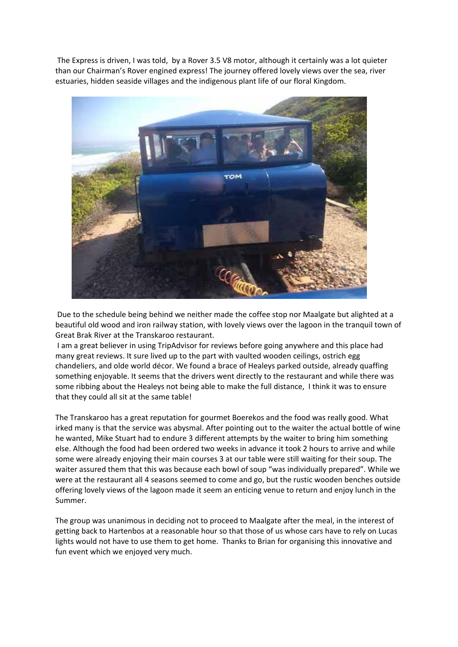The Express is driven, I was told, by a Rover 3.5 V8 motor, although it certainly was a lot quieter than our Chairman's Rover engined express! The journey offered lovely views over the sea, river estuaries, hidden seaside villages and the indigenous plant life of our floral Kingdom.



 Due to the schedule being behind we neither made the coffee stop nor Maalgate but alighted at a beautiful old wood and iron railway station, with lovely views over the lagoon in the tranquil town of Great Brak River at the Transkaroo restaurant.

 I am a great believer in using TripAdvisor for reviews before going anywhere and this place had many great reviews. It sure lived up to the part with vaulted wooden ceilings, ostrich egg chandeliers, and olde world décor. We found a brace of Healeys parked outside, already quaffing something enjoyable. It seems that the drivers went directly to the restaurant and while there was some ribbing about the Healeys not being able to make the full distance, I think it was to ensure that they could all sit at the same table!

The Transkaroo has a great reputation for gourmet Boerekos and the food was really good. What irked many is that the service was abysmal. After pointing out to the waiter the actual bottle of wine he wanted, Mike Stuart had to endure 3 different attempts by the waiter to bring him something else. Although the food had been ordered two weeks in advance it took 2 hours to arrive and while some were already enjoying their main courses 3 at our table were still waiting for their soup. The waiter assured them that this was because each bowl of soup "was individually prepared". While we were at the restaurant all 4 seasons seemed to come and go, but the rustic wooden benches outside offering lovely views of the lagoon made it seem an enticing venue to return and enjoy lunch in the Summer.

The group was unanimous in deciding not to proceed to Maalgate after the meal, in the interest of getting back to Hartenbos at a reasonable hour so that those of us whose cars have to rely on Lucas lights would not have to use them to get home. Thanks to Brian for organising this innovative and fun event which we enjoyed very much.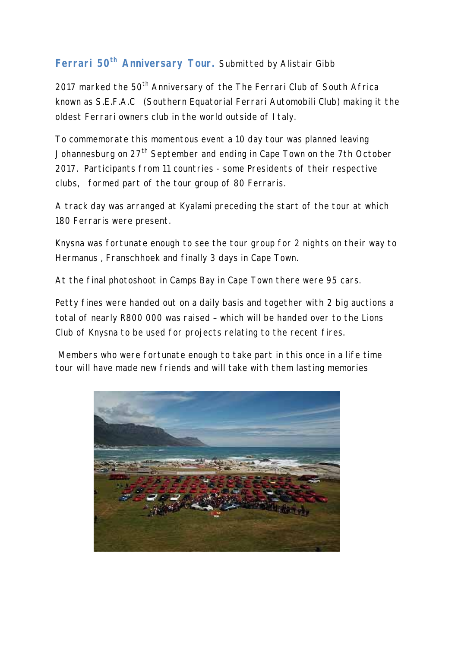## Ferrari 50<sup>th</sup> Anniversary Tour. Submitted by Alistair Gibb

2017 marked the 50<sup>th</sup> Anniversary of the The Ferrari Club of South Africa known as S.E.F.A.C (Southern Equatorial Ferrari Automobili Club) making it the oldest Ferrari owners club in the world outside of Italy.

To commemorate this momentous event a 10 day tour was planned leaving Johannesburg on 27<sup>th</sup> September and ending in Cape Town on the 7th October 2017. Participants from 11 countries - some Presidents of their respective clubs, formed part of the tour group of 80 Ferraris.

A track day was arranged at Kyalami preceding the start of the tour at which 180 Ferraris were present.

Knysna was fortunate enough to see the tour group for 2 nights on their way to Hermanus , Franschhoek and finally 3 days in Cape Town.

At the final photoshoot in Camps Bay in Cape Town there were 95 cars.

Petty fines were handed out on a daily basis and together with 2 big auctions a total of nearly R800 000 was raised – which will be handed over to the Lions Club of Knysna to be used for projects relating to the recent fires.

 Members who were fortunate enough to take part in this once in a life time tour will have made new friends and will take with them lasting memories

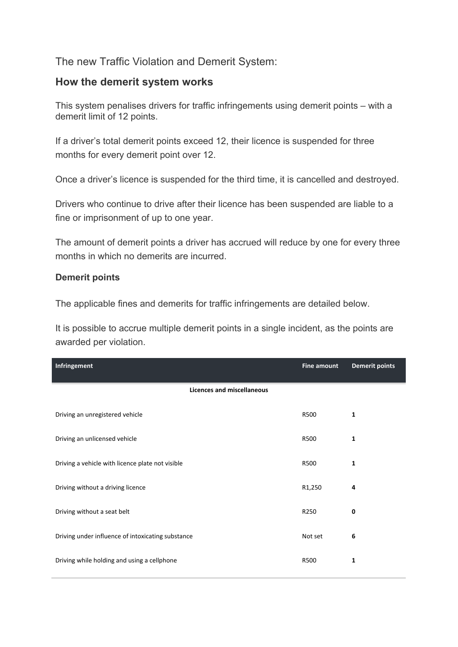## The new Traffic Violation and Demerit System:

### **How the demerit system works**

This system penalises drivers for traffic infringements using demerit points – with a demerit limit of 12 points.

If a driver's total demerit points exceed 12, their licence is suspended for three months for every demerit point over 12.

Once a driver's licence is suspended for the third time, it is cancelled and destroyed.

Drivers who continue to drive after their licence has been suspended are liable to a fine or imprisonment of up to one year.

The amount of demerit points a driver has accrued will reduce by one for every three months in which no demerits are incurred.

#### **Demerit points**

The applicable fines and demerits for traffic infringements are detailed below.

It is possible to accrue multiple demerit points in a single incident, as the points are awarded per violation.

| Infringement                                      | <b>Fine amount</b> | <b>Demerit points</b> |
|---------------------------------------------------|--------------------|-----------------------|
| <b>Licences and miscellaneous</b>                 |                    |                       |
| Driving an unregistered vehicle                   | R500               | 1                     |
| Driving an unlicensed vehicle                     | <b>R500</b>        | $\mathbf{1}$          |
| Driving a vehicle with licence plate not visible  | <b>R500</b>        | $\mathbf{1}$          |
| Driving without a driving licence                 | R1,250             | 4                     |
| Driving without a seat belt                       | R250               | $\mathbf 0$           |
| Driving under influence of intoxicating substance | Not set            | 6                     |
| Driving while holding and using a cellphone       | <b>R500</b>        | 1                     |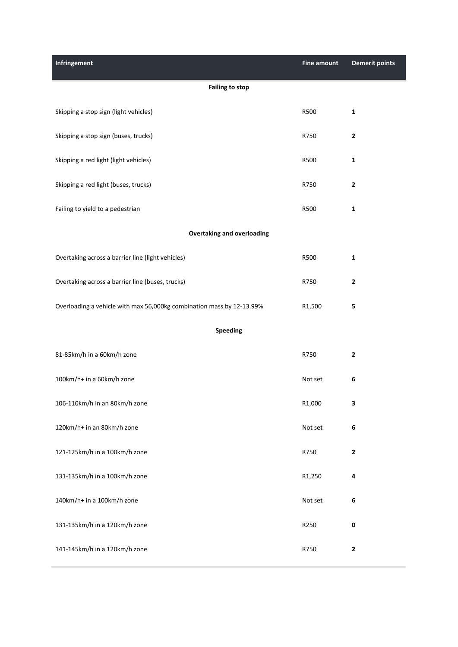| Infringement                                                          | <b>Fine amount</b> | <b>Demerit points</b>   |  |  |
|-----------------------------------------------------------------------|--------------------|-------------------------|--|--|
| <b>Failing to stop</b>                                                |                    |                         |  |  |
| Skipping a stop sign (light vehicles)                                 | R500               | $\mathbf 1$             |  |  |
| Skipping a stop sign (buses, trucks)                                  | R750               | $\overline{\mathbf{c}}$ |  |  |
| Skipping a red light (light vehicles)                                 | R500               | $\mathbf{1}$            |  |  |
| Skipping a red light (buses, trucks)                                  | R750               | $\mathbf 2$             |  |  |
| Failing to yield to a pedestrian                                      | R500               | $\mathbf 1$             |  |  |
| <b>Overtaking and overloading</b>                                     |                    |                         |  |  |
| Overtaking across a barrier line (light vehicles)                     | R500               | $\mathbf{1}$            |  |  |
| Overtaking across a barrier line (buses, trucks)                      | R750               | $\mathbf{2}$            |  |  |
| Overloading a vehicle with max 56,000kg combination mass by 12-13.99% | R1,500             | 5                       |  |  |
| Speeding                                                              |                    |                         |  |  |
| 81-85km/h in a 60km/h zone                                            | R750               | $\overline{\mathbf{c}}$ |  |  |
| 100km/h+ in a 60km/h zone                                             | Not set            | 6                       |  |  |
| 106-110km/h in an 80km/h zone                                         | R1,000             | 3                       |  |  |
| 120km/h+ in an 80km/h zone                                            | Not set            | 6                       |  |  |
| 121-125km/h in a 100km/h zone                                         | R750               | $\mathbf 2$             |  |  |
| 131-135km/h in a 100km/h zone                                         | R1,250             | 4                       |  |  |
| 140km/h+ in a 100km/h zone                                            | Not set            | 6                       |  |  |
| 131-135km/h in a 120km/h zone                                         | R250               | 0                       |  |  |
| 141-145km/h in a 120km/h zone                                         | R750               | $\mathbf 2$             |  |  |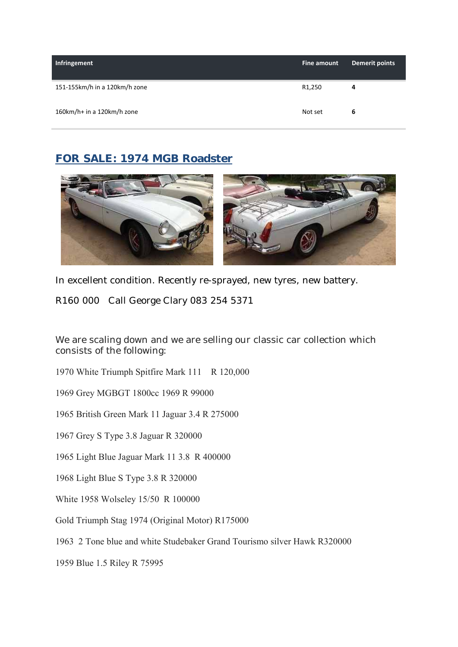| Infringement                  | Fine amount | Demerit points |
|-------------------------------|-------------|----------------|
| 151-155km/h in a 120km/h zone | R1,250      | 4              |
| 160km/h+ in a 120km/h zone    | Not set     | 6              |

## **FOR SALE: 1974 MGB Roadster**



In excellent condition. Recently re-sprayed, new tyres, new battery.

R160 000 Call George Clary 083 254 5371

We are scaling down and we are selling our classic car collection which consists of the following:

1970 White Triumph Spitfire Mark 111 R 120,000

1969 Grey MGBGT 1800cc 1969 R 99000

1965 British Green Mark 11 Jaguar 3.4 R 275000

1967 Grey S Type 3.8 Jaguar R 320000

1965 Light Blue Jaguar Mark 11 3.8 R 400000

1968 Light Blue S Type 3.8 R 320000

White 1958 Wolseley 15/50 R 100000

Gold Triumph Stag 1974 (Original Motor) R175000

1963 2 Tone blue and white Studebaker Grand Tourismo silver Hawk R320000

1959 Blue 1.5 Riley R 75995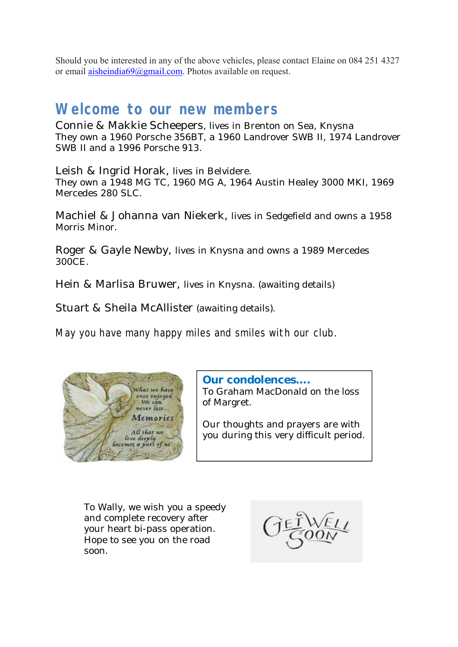Should you be interested in any of the above vehicles, please contact Elaine on 084 251 4327 or email aisheindia69@gmail.com. Photos available on request.

# **Welcome to our new members**

Connie & Makkie Scheepers, lives in Brenton on Sea, Knysna They own a 1960 Porsche 356BT, a 1960 Landrover SWB II, 1974 Landrover SWB II and a 1996 Porsche 913.

Leish & Ingrid Horak, lives in Belvidere. They own a 1948 MG TC, 1960 MG A, 1964 Austin Healey 3000 MKI, 1969 Mercedes 280 SLC.

Machiel & Johanna van Niekerk, lives in Sedgefield and owns a 1958 Morris Minor.

Roger & Gayle Newby, lives in Knysna and owns a 1989 Mercedes 300CE.

Hein & Marlisa Bruwer, lives in Knysna. (awaiting details)

Stuart & Sheila McAllister (awaiting details).

May you have many happy miles and smiles with our club.



**Our condolences….**

To Graham MacDonald on the loss of Margret.

Our thoughts and prayers are with you during this very difficult period.

To Wally, we wish you a speedy and complete recovery after your heart bi-pass operation. Hope to see you on the road soon.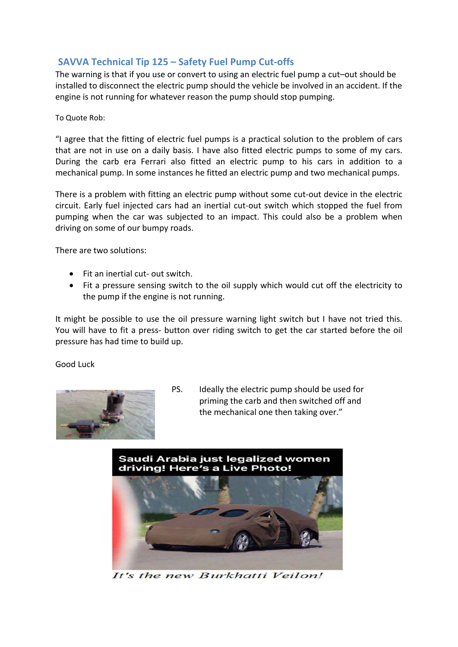## **SAVVA Technical Tip 125 – Safety Fuel Pump Cut‐offs**

The warning is that if you use or convert to using an electric fuel pump a cut–out should be installed to disconnect the electric pump should the vehicle be involved in an accident. If the engine is not running for whatever reason the pump should stop pumping.

To Quote Rob:

"I agree that the fitting of electric fuel pumps is a practical solution to the problem of cars that are not in use on a daily basis. I have also fitted electric pumps to some of my cars. During the carb era Ferrari also fitted an electric pump to his cars in addition to a mechanical pump. In some instances he fitted an electric pump and two mechanical pumps.

There is a problem with fitting an electric pump without some cut-out device in the electric circuit. Early fuel injected cars had an inertial cut-out switch which stopped the fuel from pumping when the car was subjected to an impact. This could also be a problem when driving on some of our bumpy roads.

There are two solutions:

- Fit an inertial cut- out switch.
- Fit a pressure sensing switch to the oil supply which would cut off the electricity to the pump if the engine is not running.

It might be possible to use the oil pressure warning light switch but I have not tried this. You will have to fit a press- button over riding switch to get the car started before the oil pressure has had time to build up.

Good Luck



PS. Ideally the electric pump should be used for priming the carb and then switched off and the mechanical one then taking over."





It's the new Burkhatti Veilon!